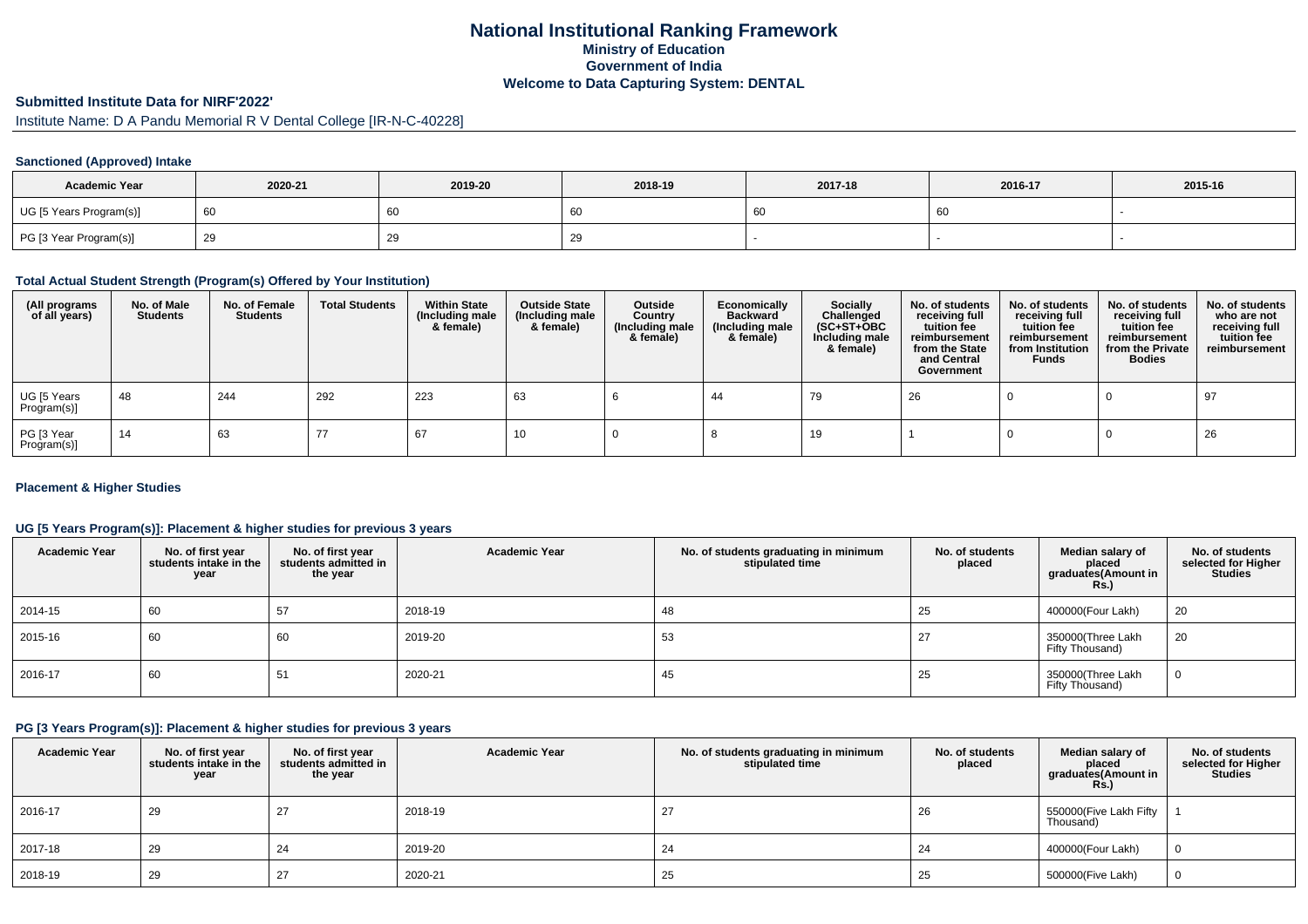## **National Institutional Ranking FrameworkMinistry of Education Government of IndiaWelcome to Data Capturing System: DENTAL**

# **Submitted Institute Data for NIRF'2022'**

Institute Name: D A Pandu Memorial R V Dental College [IR-N-C-40228]

### **Sanctioned (Approved) Intake**

| <b>Academic Year</b>    | 2020-21 | 2019-20 | 2018-19 | 2017-18 | 2016-17 | 2015-16 |
|-------------------------|---------|---------|---------|---------|---------|---------|
| UG [5 Years Program(s)] |         | 60      | 60      |         | 60      |         |
| PG [3 Year Program(s)]  |         | 29      | ້       |         |         |         |

#### **Total Actual Student Strength (Program(s) Offered by Your Institution)**

| (All programs<br>of all years) | No. of Male<br><b>Students</b> | No. of Female<br>Students | <b>Total Students</b> | <b>Within State</b><br>(Including male<br>& female) | <b>Outside State</b><br>(Including male<br>& female) | Outside<br>Country<br>(Including male<br>& female) | Economically<br>Backward<br>(Including male<br>& female) | <b>Socially</b><br>Challenged<br>$(SC+ST+OBC)$<br>Including male<br>& female) | No. of students<br>receiving full<br>tuition fee<br>reimbursement<br>from the State<br>and Central<br>Government | No. of students<br>receiving full<br>tuition fee<br>reimbursement<br>from Institution<br><b>Funds</b> | No. of students<br>receiving full<br>tuition fee<br>reimbursement<br>from the Private<br><b>Bodies</b> | No. of students<br>who are not<br>receiving full<br>tuition fee<br>reimbursement |
|--------------------------------|--------------------------------|---------------------------|-----------------------|-----------------------------------------------------|------------------------------------------------------|----------------------------------------------------|----------------------------------------------------------|-------------------------------------------------------------------------------|------------------------------------------------------------------------------------------------------------------|-------------------------------------------------------------------------------------------------------|--------------------------------------------------------------------------------------------------------|----------------------------------------------------------------------------------|
| UG [5 Years<br>Program(s)]     | -48                            | 244                       | 292                   | 223                                                 | 63                                                   |                                                    | 44                                                       | 79                                                                            | 26                                                                                                               |                                                                                                       |                                                                                                        | 97                                                                               |
| PG [3 Year<br>Program(s)]      | 14                             | 63                        |                       | 67                                                  | 10                                                   |                                                    |                                                          | 19                                                                            |                                                                                                                  |                                                                                                       |                                                                                                        | 26                                                                               |

#### **Placement & Higher Studies**

#### **UG [5 Years Program(s)]: Placement & higher studies for previous 3 years**

| <b>Academic Year</b> | No. of first year<br>students intake in the<br>year | No. of first year<br>students admitted in<br>the year | <b>Academic Year</b> | No. of students graduating in minimum<br>stipulated time | No. of students<br>placed | Median salary of<br>placed<br>graduates(Amount in<br>Rs.) | No. of students<br>selected for Higher<br><b>Studies</b> |
|----------------------|-----------------------------------------------------|-------------------------------------------------------|----------------------|----------------------------------------------------------|---------------------------|-----------------------------------------------------------|----------------------------------------------------------|
| 2014-15              | 60                                                  | 57                                                    | 2018-19              | 48                                                       | 25                        | 400000(Four Lakh)                                         | 20                                                       |
| 2015-16              | 60                                                  | 60                                                    | 2019-20              | 53                                                       | 27                        | 350000(Three Lakh<br>Fifty Thousand)                      | 20                                                       |
| 2016-17              | 60                                                  | 51                                                    | 2020-21              | 45                                                       | 25                        | 350000(Three Lakh<br>Fifty Thousand)                      | 0                                                        |

#### **PG [3 Years Program(s)]: Placement & higher studies for previous 3 years**

| <b>Academic Year</b> | No. of first year<br>students intake in the<br>year | No. of first vear<br>students admitted in<br>the year | <b>Academic Year</b> | No. of students graduating in minimum<br>stipulated time | No. of students<br>placed | Median salary of<br>placed<br>graduates(Amount in<br><b>Rs.)</b> | No. of students<br>selected for Higher<br><b>Studies</b> |
|----------------------|-----------------------------------------------------|-------------------------------------------------------|----------------------|----------------------------------------------------------|---------------------------|------------------------------------------------------------------|----------------------------------------------------------|
| 2016-17              | 29                                                  | 27                                                    | 2018-19              | 27                                                       | 26                        | 550000(Five Lakh Fifty<br>Thousand)                              |                                                          |
| 2017-18              | 29                                                  | 24                                                    | 2019-20              | 24                                                       | 24                        | 400000(Four Lakh)                                                | 0                                                        |
| 2018-19              | 29                                                  | 27                                                    | 2020-21              | 25                                                       | 25                        | 500000(Five Lakh)                                                | 0                                                        |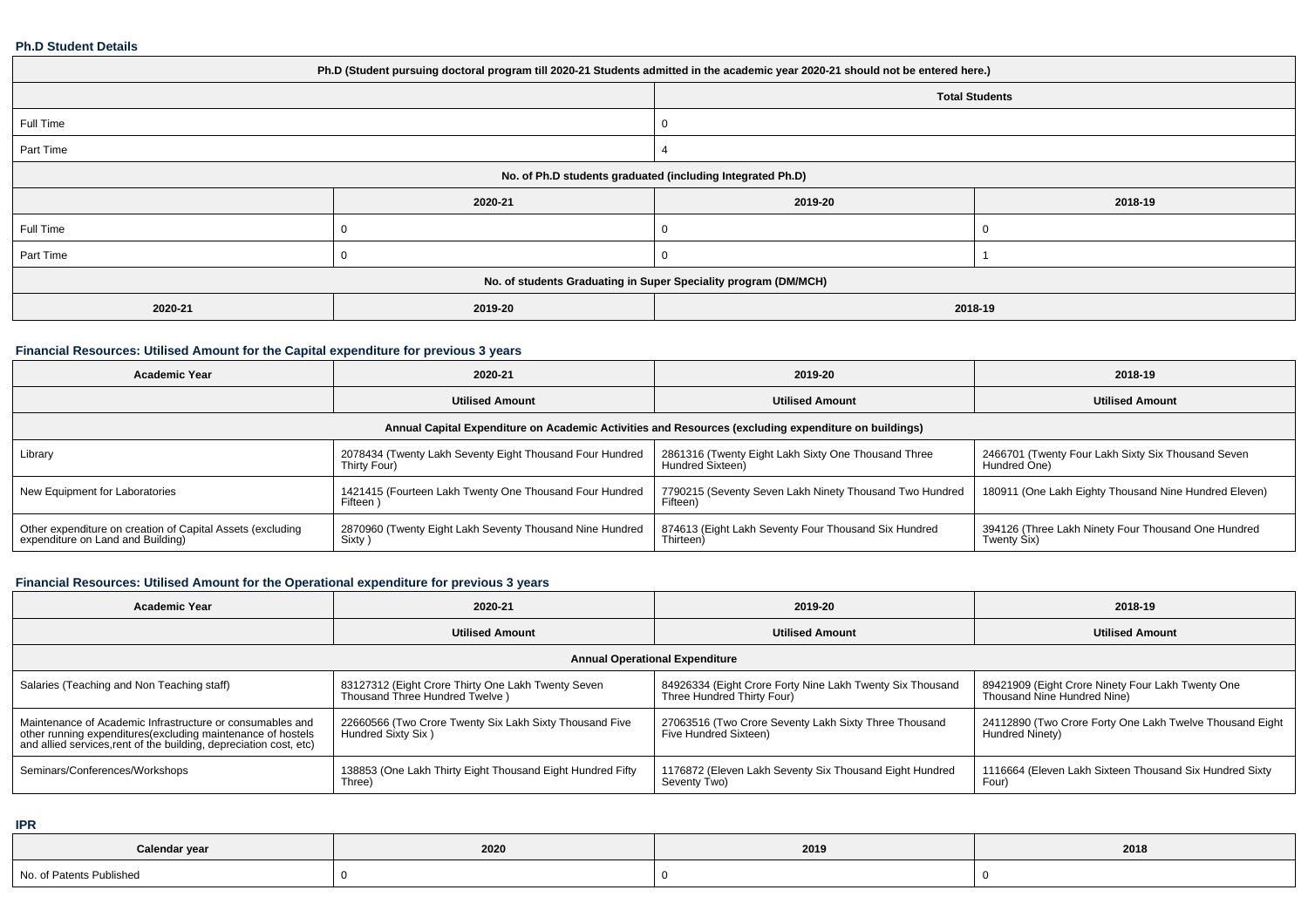#### **Ph.D Student Details**

| Ph.D (Student pursuing doctoral program till 2020-21 Students admitted in the academic year 2020-21 should not be entered here.) |         |                       |         |  |
|----------------------------------------------------------------------------------------------------------------------------------|---------|-----------------------|---------|--|
|                                                                                                                                  |         | <b>Total Students</b> |         |  |
| Full Time                                                                                                                        |         |                       |         |  |
| Part Time                                                                                                                        |         |                       |         |  |
| No. of Ph.D students graduated (including Integrated Ph.D)                                                                       |         |                       |         |  |
|                                                                                                                                  | 2020-21 | 2019-20               | 2018-19 |  |
| Full Time                                                                                                                        |         |                       |         |  |
| Part Time                                                                                                                        |         |                       |         |  |
| No. of students Graduating in Super Speciality program (DM/MCH)                                                                  |         |                       |         |  |
| 2020-21                                                                                                                          | 2019-20 | 2018-19               |         |  |

### **Financial Resources: Utilised Amount for the Capital expenditure for previous 3 years**

| <b>Academic Year</b>                                                                                 | 2020-21                                                                  | 2019-20                                                                 | 2018-19                                                            |  |  |
|------------------------------------------------------------------------------------------------------|--------------------------------------------------------------------------|-------------------------------------------------------------------------|--------------------------------------------------------------------|--|--|
|                                                                                                      | <b>Utilised Amount</b>                                                   | <b>Utilised Amount</b>                                                  | <b>Utilised Amount</b>                                             |  |  |
| Annual Capital Expenditure on Academic Activities and Resources (excluding expenditure on buildings) |                                                                          |                                                                         |                                                                    |  |  |
| Library                                                                                              | 2078434 (Twenty Lakh Seventy Eight Thousand Four Hundred<br>Thirty Four) | 2861316 (Twenty Eight Lakh Sixty One Thousand Three<br>Hundred Sixteen) | 2466701 (Twenty Four Lakh Sixty Six Thousand Seven<br>Hundred One) |  |  |
| New Equipment for Laboratories                                                                       | 1421415 (Fourteen Lakh Twenty One Thousand Four Hundred<br>Fifteen       | 7790215 (Seventy Seven Lakh Ninety Thousand Two Hundred<br>Fifteen)     | 180911 (One Lakh Eighty Thousand Nine Hundred Eleven)              |  |  |
| Other expenditure on creation of Capital Assets (excluding<br>expenditure on Land and Building)      | 2870960 (Twenty Eight Lakh Seventy Thousand Nine Hundred<br>Sixty)       | 874613 (Eight Lakh Seventy Four Thousand Six Hundred<br>Thirteen)       | 394126 (Three Lakh Ninety Four Thousand One Hundred<br>Twenty Six) |  |  |

### **Financial Resources: Utilised Amount for the Operational expenditure for previous 3 years**

| <b>Academic Year</b>                                                                                                                                                                            | 2020-21                                                                              | 2019-20                                                                                 | 2018-19                                                                          |  |  |
|-------------------------------------------------------------------------------------------------------------------------------------------------------------------------------------------------|--------------------------------------------------------------------------------------|-----------------------------------------------------------------------------------------|----------------------------------------------------------------------------------|--|--|
|                                                                                                                                                                                                 | <b>Utilised Amount</b>                                                               | <b>Utilised Amount</b>                                                                  | <b>Utilised Amount</b>                                                           |  |  |
| <b>Annual Operational Expenditure</b>                                                                                                                                                           |                                                                                      |                                                                                         |                                                                                  |  |  |
| Salaries (Teaching and Non Teaching staff)                                                                                                                                                      | 83127312 (Eight Crore Thirty One Lakh Twenty Seven<br>Thousand Three Hundred Twelve) | 84926334 (Eight Crore Forty Nine Lakh Twenty Six Thousand<br>Three Hundred Thirty Four) | 89421909 (Eight Crore Ninety Four Lakh Twenty One<br>Thousand Nine Hundred Nine) |  |  |
| Maintenance of Academic Infrastructure or consumables and<br>other running expenditures (excluding maintenance of hostels<br>and allied services, rent of the building, depreciation cost, etc) | 22660566 (Two Crore Twenty Six Lakh Sixty Thousand Five<br>Hundred Sixty Six)        | 27063516 (Two Crore Seventy Lakh Sixty Three Thousand<br>Five Hundred Sixteen)          | 24112890 (Two Crore Forty One Lakh Twelve Thousand Eight  <br>Hundred Ninety)    |  |  |
| Seminars/Conferences/Workshops                                                                                                                                                                  | 138853 (One Lakh Thirty Eight Thousand Eight Hundred Fifty<br>Three)                 | 1176872 (Eleven Lakh Seventy Six Thousand Eight Hundred<br>Seventy Two)                 | 1116664 (Eleven Lakh Sixteen Thousand Six Hundred Sixty<br>Four)                 |  |  |

**IPR**

| Calendar year            | 2020 | 2019 | 2018 |
|--------------------------|------|------|------|
| No. of Patents Published |      |      |      |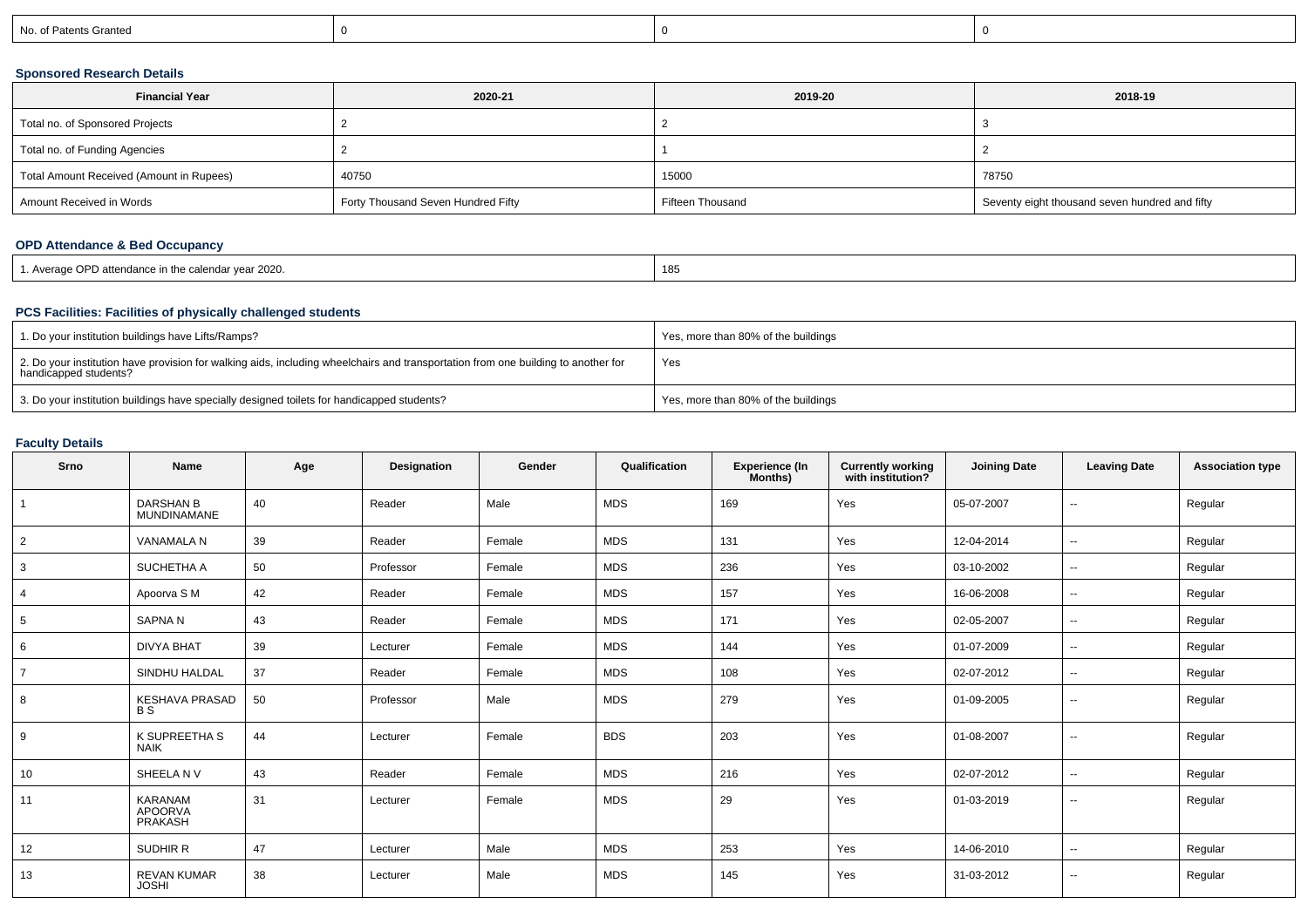| No. of Patents Granted |  |  |
|------------------------|--|--|
|                        |  |  |

### **Sponsored Research Details**

| <b>Financial Year</b>                    | 2020-21                            | 2019-20          | 2018-19                                        |
|------------------------------------------|------------------------------------|------------------|------------------------------------------------|
| Total no. of Sponsored Projects          |                                    |                  |                                                |
| Total no. of Funding Agencies            |                                    |                  |                                                |
| Total Amount Received (Amount in Rupees) | 40750                              | 15000            | 78750                                          |
| Amount Received in Words                 | Forty Thousand Seven Hundred Fifty | Fifteen Thousand | Seventy eight thousand seven hundred and fifty |

### **OPD Attendance & Bed Occupancy**

| 1. Average OPD attendance in the calendar year 2020. | 185 |
|------------------------------------------------------|-----|
|------------------------------------------------------|-----|

# **PCS Facilities: Facilities of physically challenged students**

| 1. Do your institution buildings have Lifts/Ramps?                                                                                                         | Yes, more than 80% of the buildings |
|------------------------------------------------------------------------------------------------------------------------------------------------------------|-------------------------------------|
| 2. Do your institution have provision for walking aids, including wheelchairs and transportation from one building to another for<br>handicapped students? | Yes                                 |
| 3. Do your institution buildings have specially designed toilets for handicapped students?                                                                 | Yes, more than 80% of the buildings |

### **Faculty Details**

| Srno           | <b>Name</b>                                 | Age | Designation | Gender | Qualification | <b>Experience (In</b><br>Months) | <b>Currently working</b><br>with institution? | <b>Joining Date</b> | <b>Leaving Date</b>      | <b>Association type</b> |
|----------------|---------------------------------------------|-----|-------------|--------|---------------|----------------------------------|-----------------------------------------------|---------------------|--------------------------|-------------------------|
|                | <b>DARSHAN B</b><br>MUNDINAMANE             | 40  | Reader      | Male   | <b>MDS</b>    | 169                              | Yes                                           | 05-07-2007          | --                       | Regular                 |
| 2              | <b>VANAMALA N</b>                           | 39  | Reader      | Female | <b>MDS</b>    | 131                              | Yes                                           | 12-04-2014          | $\overline{\phantom{a}}$ | Regular                 |
| 3              | SUCHETHA A                                  | 50  | Professor   | Female | <b>MDS</b>    | 236                              | Yes                                           | 03-10-2002          | $\overline{\phantom{a}}$ | Regular                 |
|                | Apoorva S M                                 | 42  | Reader      | Female | <b>MDS</b>    | 157                              | Yes                                           | 16-06-2008          | $\overline{\phantom{a}}$ | Regular                 |
| 5              | <b>SAPNAN</b>                               | 43  | Reader      | Female | <b>MDS</b>    | 171                              | Yes                                           | 02-05-2007          | $\overline{\phantom{a}}$ | Regular                 |
| 6              | <b>DIVYA BHAT</b>                           | 39  | Lecturer    | Female | <b>MDS</b>    | 144                              | Yes                                           | 01-07-2009          | $\overline{\phantom{a}}$ | Regular                 |
| $\overline{ }$ | SINDHU HALDAL                               | 37  | Reader      | Female | <b>MDS</b>    | 108                              | Yes                                           | 02-07-2012          | $\overline{\phantom{a}}$ | Regular                 |
| 8              | <b>KESHAVA PRASAD</b><br><b>BS</b>          | 50  | Professor   | Male   | <b>MDS</b>    | 279                              | Yes                                           | 01-09-2005          | $\overline{\phantom{a}}$ | Regular                 |
| 9              | K SUPREETHA S<br><b>NAIK</b>                | 44  | Lecturer    | Female | <b>BDS</b>    | 203                              | Yes                                           | 01-08-2007          | $\overline{\phantom{a}}$ | Regular                 |
| 10             | SHEELA NV                                   | 43  | Reader      | Female | <b>MDS</b>    | 216                              | Yes                                           | 02-07-2012          | $\overline{\phantom{a}}$ | Regular                 |
| 11             | <b>KARANAM</b><br><b>APOORVA</b><br>PRAKASH | 31  | Lecturer    | Female | <b>MDS</b>    | 29                               | Yes                                           | 01-03-2019          | $\overline{\phantom{a}}$ | Regular                 |
| 12             | SUDHIR R                                    | 47  | Lecturer    | Male   | <b>MDS</b>    | 253                              | Yes                                           | 14-06-2010          | $\overline{\phantom{a}}$ | Regular                 |
| 13             | <b>REVAN KUMAR</b><br><b>JOSHI</b>          | 38  | Lecturer    | Male   | <b>MDS</b>    | 145                              | Yes                                           | 31-03-2012          | $\overline{\phantom{a}}$ | Regular                 |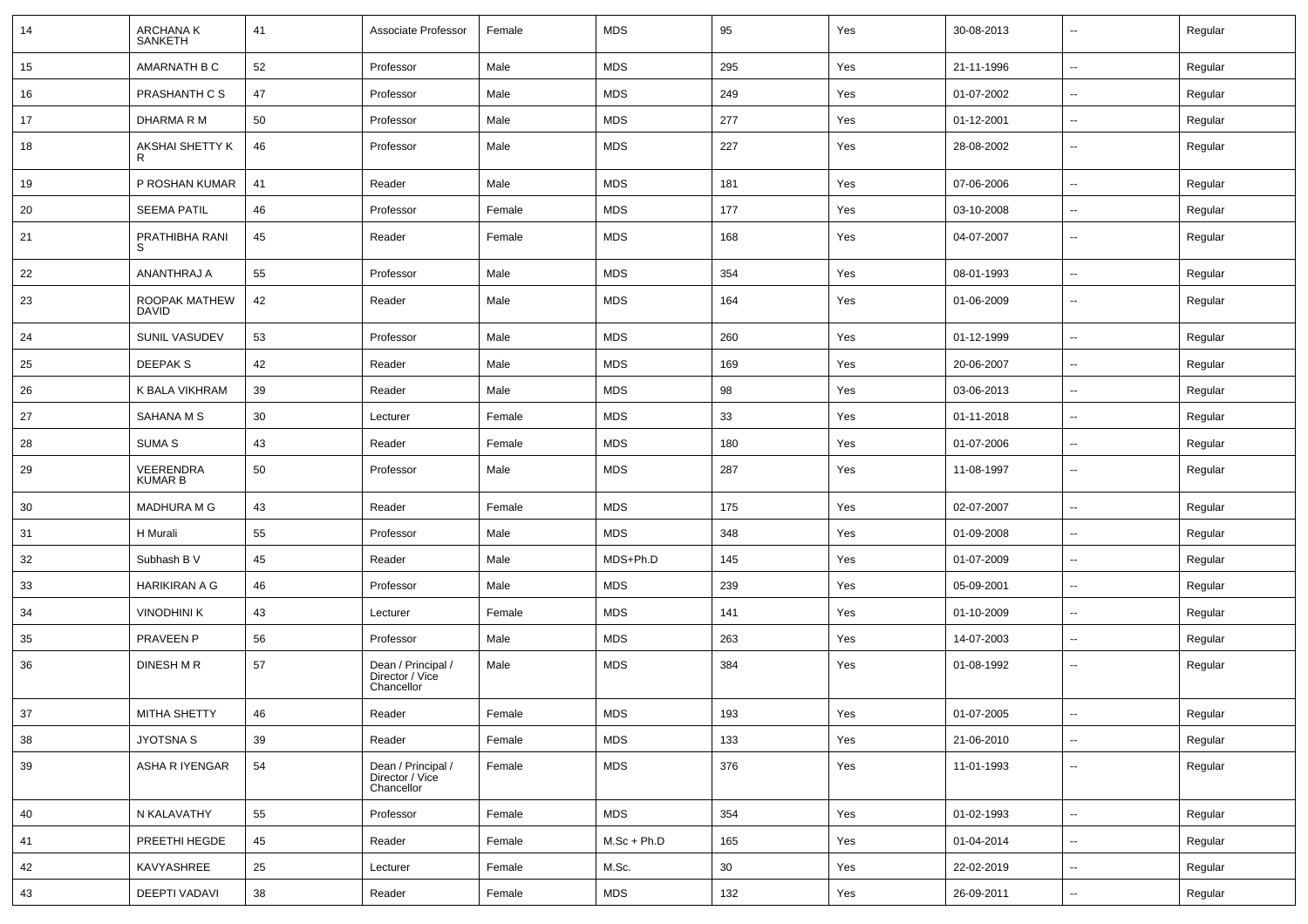| 14 | ARCHANA K<br><b>SANKETH</b>   | 41 | Associate Professor                                 | Female | <b>MDS</b>    | 95  | Yes | 30-08-2013 | $\sim$                   | Regular |
|----|-------------------------------|----|-----------------------------------------------------|--------|---------------|-----|-----|------------|--------------------------|---------|
| 15 | AMARNATH B C                  | 52 | Professor                                           | Male   | <b>MDS</b>    | 295 | Yes | 21-11-1996 | $\overline{\phantom{a}}$ | Regular |
| 16 | PRASHANTH C S                 | 47 | Professor                                           | Male   | <b>MDS</b>    | 249 | Yes | 01-07-2002 | $\sim$                   | Regular |
| 17 | DHARMA R M                    | 50 | Professor                                           | Male   | <b>MDS</b>    | 277 | Yes | 01-12-2001 | $\sim$                   | Regular |
| 18 | AKSHAI SHETTY K               | 46 | Professor                                           | Male   | <b>MDS</b>    | 227 | Yes | 28-08-2002 | $\sim$                   | Regular |
| 19 | P ROSHAN KUMAR                | 41 | Reader                                              | Male   | <b>MDS</b>    | 181 | Yes | 07-06-2006 | $\mathbf{u}$             | Regular |
| 20 | <b>SEEMA PATIL</b>            | 46 | Professor                                           | Female | <b>MDS</b>    | 177 | Yes | 03-10-2008 | $\sim$                   | Regular |
| 21 | PRATHIBHA RANI<br>-S          | 45 | Reader                                              | Female | <b>MDS</b>    | 168 | Yes | 04-07-2007 | $\mathbf{u}$             | Regular |
| 22 | ANANTHRAJ A                   | 55 | Professor                                           | Male   | <b>MDS</b>    | 354 | Yes | 08-01-1993 | $\overline{\phantom{a}}$ | Regular |
| 23 | ROOPAK MATHEW<br><b>DAVID</b> | 42 | Reader                                              | Male   | <b>MDS</b>    | 164 | Yes | 01-06-2009 | $\overline{\phantom{a}}$ | Regular |
| 24 | SUNIL VASUDEV                 | 53 | Professor                                           | Male   | <b>MDS</b>    | 260 | Yes | 01-12-1999 | $\overline{\phantom{a}}$ | Regular |
| 25 | <b>DEEPAKS</b>                | 42 | Reader                                              | Male   | <b>MDS</b>    | 169 | Yes | 20-06-2007 | $\sim$                   | Regular |
| 26 | K BALA VIKHRAM                | 39 | Reader                                              | Male   | <b>MDS</b>    | 98  | Yes | 03-06-2013 | $\sim$                   | Regular |
| 27 | SAHANA M S                    | 30 | Lecturer                                            | Female | <b>MDS</b>    | 33  | Yes | 01-11-2018 | $\sim$                   | Regular |
| 28 | <b>SUMA S</b>                 | 43 | Reader                                              | Female | <b>MDS</b>    | 180 | Yes | 01-07-2006 | $\sim$                   | Regular |
| 29 | VEERENDRA<br><b>KUMAR B</b>   | 50 | Professor                                           | Male   | <b>MDS</b>    | 287 | Yes | 11-08-1997 | $\sim$                   | Regular |
| 30 | <b>MADHURA M G</b>            | 43 | Reader                                              | Female | <b>MDS</b>    | 175 | Yes | 02-07-2007 | $\overline{\phantom{a}}$ | Regular |
| 31 | H Murali                      | 55 | Professor                                           | Male   | <b>MDS</b>    | 348 | Yes | 01-09-2008 | $\sim$                   | Regular |
| 32 | Subhash B V                   | 45 | Reader                                              | Male   | MDS+Ph.D      | 145 | Yes | 01-07-2009 | $\sim$                   | Regular |
| 33 | <b>HARIKIRAN A G</b>          | 46 | Professor                                           | Male   | <b>MDS</b>    | 239 | Yes | 05-09-2001 | $\sim$                   | Regular |
| 34 | <b>VINODHINI K</b>            | 43 | Lecturer                                            | Female | <b>MDS</b>    | 141 | Yes | 01-10-2009 | $\sim$                   | Regular |
| 35 | PRAVEEN P                     | 56 | Professor                                           | Male   | MDS           | 263 | Yes | 14-07-2003 | $\sim$                   | Regular |
| 36 | DINESH M R                    | 57 | Dean / Principal /<br>Director / Vice<br>Chancellor | Male   | <b>MDS</b>    | 384 | Yes | 01-08-1992 | --                       | Regular |
| 37 | MITHA SHETTY                  | 46 | Reader                                              | Female | <b>MDS</b>    | 193 | Yes | 01-07-2005 | --                       | Regular |
| 38 | JYOTSNA S                     | 39 | Reader                                              | Female | MDS           | 133 | Yes | 21-06-2010 | $\sim$                   | Regular |
| 39 | ASHA R IYENGAR                | 54 | Dean / Principal /<br>Director / Vice<br>Chancellor | Female | <b>MDS</b>    | 376 | Yes | 11-01-1993 | $\sim$                   | Regular |
| 40 | N KALAVATHY                   | 55 | Professor                                           | Female | <b>MDS</b>    | 354 | Yes | 01-02-1993 | $\overline{\phantom{a}}$ | Regular |
| 41 | PREETHI HEGDE                 | 45 | Reader                                              | Female | $M.Sc + Ph.D$ | 165 | Yes | 01-04-2014 | $\sim$                   | Regular |
| 42 | KAVYASHREE                    | 25 | Lecturer                                            | Female | M.Sc.         | 30  | Yes | 22-02-2019 | $\sim$                   | Regular |
| 43 | DEEPTI VADAVI                 | 38 | Reader                                              | Female | MDS           | 132 | Yes | 26-09-2011 | $\sim$                   | Regular |